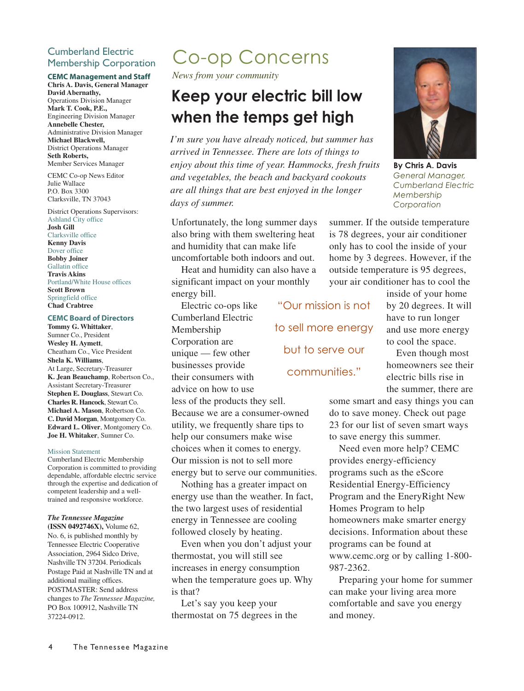## Cumberland Electric Membership Corporation

### **CEMC Management and Staff**

**Chris A. Davis, General Manager David Abernathy,** Operations Division Manager **Mark T. Cook, P.E.,** Engineering Division Manager **Annebelle Chester,** Administrative Division Manager **Michael Blackwell,** District Operations Manager **Seth Roberts,** Member Services Manager

CEMC Co-op News Editor Julie Wallace P.O. Box 3300 Clarksville, TN 37043

District Operations Supervisors: Ashland City office **Josh Gill**

Clarksville office **Kenny Davis** Dover office **Bobby Joiner** Gallatin office **Travis Akins** Portland/White House offices **Scott Brown** Springfield office **Chad Crabtree**

#### **CEMC Board of Directors**

**Tommy G. Whittaker**, Sumner Co., President **Wesley H. Aymett**, Cheatham Co., Vice President **Shela K. Williams**, At Large, Secretary-Treasurer **K. Jean Beauchamp**, Robertson Co., Assistant Secretary-Treasurer **Stephen E. Douglass**, Stewart Co. **Charles R. Hancock**, Stewart Co. **Michael A. Mason**, Robertson Co. **C. David Morgan**, Montgomery Co. **Edward L. Oliver**, Montgomery Co. **Joe H. Whitaker**, Sumner Co.

#### Mission Statement

Cumberland Electric Membership Corporation is committed to providing dependable, affordable electric service through the expertise and dedication of competent leadership and a welltrained and responsive workforce.

#### *The Tennessee Magazine* **(ISSN 0492746X),** Volume 62,

No. 6, is published monthly by Tennessee Electric Cooperative Association, 2964 Sidco Drive, Nashville TN 37204. Periodicals Postage Paid at Nashville TN and at additional mailing offices. POSTMASTER: Send address changes to *The Tennessee Magazine,* PO Box 100912, Nashville TN 37224-0912.

*News from your community* 

# **Keep your electric bill low**

**when the temps get high**  *I'm sure you have already noticed, but summer has arrived in Tennessee. There are lots of things to enjoy about this time of year. Hammocks, fresh fruits and vegetables, the beach and backyard cookouts are all things that are best enjoyed in the longer days of summer.*

Unfortunately, the long summer days also bring with them sweltering heat and humidity that can make life uncomfortable both indoors and out.

Heat and humidity can also have a significant impact on your monthly energy bill.

Electric co-ops like Cumberland Electric Membership Corporation are unique — few other businesses provide their consumers with advice on how to use less of the products they sell. Because we are a consumer-owned utility, we frequently share tips to

help our consumers make wise choices when it comes to energy. Our mission is not to sell more energy but to serve our communities.

Nothing has a greater impact on energy use than the weather. In fact, the two largest uses of residential energy in Tennessee are cooling followed closely by heating.

Even when you don't adjust your thermostat, you will still see increases in energy consumption when the temperature goes up. Why is that?

Let's say you keep your thermostat on 75 degrees in the

"Our mission is not to sell more energy but to serve our

inside of your home by 20 degrees. It will have to run longer and use more energy to cool the space.

Even though most homeowners see their electric bills rise in the summer, there are

some smart and easy things you can do to save money. Check out page 23 for our list of seven smart ways to save energy this summer.

Need even more help? CEMC provides energy-efficiency programs such as the eScore Residential Energy-Efficiency Program and the EneryRight New Homes Program to help homeowners make smarter energy decisions. Information about these programs can be found at www.cemc.org or by calling 1-800- 987-2362.

Preparing your home for summer can make your living area more comfortable and save you energy and money.

**By Chris A. Davis** *General Manager, Cumberland Electric Membership Corporation*

summer. If the outside temperature is 78 degrees, your air conditioner only has to cool the inside of your home by 3 degrees. However, if the outside temperature is 95 degrees, your air conditioner has to cool the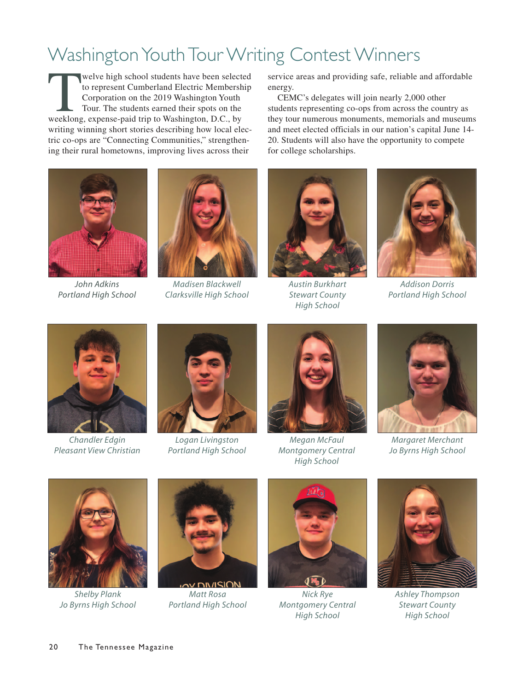## Washington Youth Tour Writing Contest Winners

welve high school students have been selected<br>to represent Cumberland Electric Membership<br>Corporation on the 2019 Washington Youth<br>Tour. The students earned their spots on the<br>weeklong, expense-paid trip to Washington, D.C to represent Cumberland Electric Membership Corporation on the 2019 Washington Youth Tour. The students earned their spots on the writing winning short stories describing how local electric co-ops are "Connecting Communities," strengthening their rural hometowns, improving lives across their



*John Adkins Portland High School*



*Madisen Blackwell Clarksville High School*

service areas and providing safe, reliable and affordable energy.

CEMC's delegates will join nearly 2,000 other students representing co-ops from across the country as they tour numerous monuments, memorials and museums and meet elected officials in our nation's capital June 14- 20. Students will also have the opportunity to compete for college scholarships.



*Austin Burkhart Stewart County High School*



*Addison Dorris Portland High School*



*Chandler Edgin Pleasant View Christian*



*Logan Livingston Portland High School*



*Megan McFaul Montgomery Central High School*



*Margaret Merchant Jo Byrns High School*



*Shelby Plank Jo Byrns High School*



**DIVICIO** *Matt Rosa Portland High School*



*Nick Rye Montgomery Central High School*



*Ashley Thompson Stewart County High School*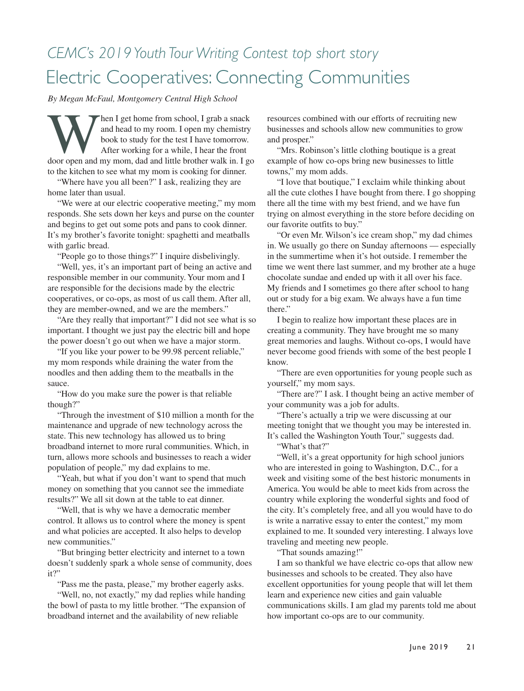## *CEMC's 2019 Youth Tour Writing Contest top short story* Electric Cooperatives: Connecting Communities

*By Megan McFaul, Montgomery Central High School* 

Mand head to my room. I grab a snack<br>and head to my room. I open my chemistry<br>book to study for the test I have tomorrow.<br>After working for a while, I hear the front<br>door open and my mom, dad and little brother walk in. I and head to my room. I open my chemistry book to study for the test I have tomorrow. After working for a while, I hear the front to the kitchen to see what my mom is cooking for dinner.

"Where have you all been?" I ask, realizing they are home later than usual.

"We were at our electric cooperative meeting," my mom responds. She sets down her keys and purse on the counter and begins to get out some pots and pans to cook dinner. It's my brother's favorite tonight: spaghetti and meatballs with garlic bread.

"People go to those things?" I inquire disbelivingly.

"Well, yes, it's an important part of being an active and responsible member in our community. Your mom and I are responsible for the decisions made by the electric cooperatives, or co-ops, as most of us call them. After all, they are member-owned, and we are the members."

"Are they really that important?" I did not see what is so important. I thought we just pay the electric bill and hope the power doesn't go out when we have a major storm.

"If you like your power to be 99.98 percent reliable," my mom responds while draining the water from the noodles and then adding them to the meatballs in the sauce.

"How do you make sure the power is that reliable though?"

"Through the investment of \$10 million a month for the maintenance and upgrade of new technology across the state. This new technology has allowed us to bring broadband internet to more rural communities. Which, in turn, allows more schools and businesses to reach a wider population of people," my dad explains to me.

"Yeah, but what if you don't want to spend that much money on something that you cannot see the immediate results?" We all sit down at the table to eat dinner.

"Well, that is why we have a democratic member control. It allows us to control where the money is spent and what policies are accepted. It also helps to develop new communities."

"But bringing better electricity and internet to a town doesn't suddenly spark a whole sense of community, does it?"

"Pass me the pasta, please," my brother eagerly asks.

"Well, no, not exactly," my dad replies while handing the bowl of pasta to my little brother. "The expansion of broadband internet and the availability of new reliable

resources combined with our efforts of recruiting new businesses and schools allow new communities to grow and prosper."

"Mrs. Robinson's little clothing boutique is a great example of how co-ops bring new businesses to little towns," my mom adds.

"I love that boutique," I exclaim while thinking about all the cute clothes I have bought from there. I go shopping there all the time with my best friend, and we have fun trying on almost everything in the store before deciding on our favorite outfits to buy."

"Or even Mr. Wilson's ice cream shop," my dad chimes in. We usually go there on Sunday afternoons — especially in the summertime when it's hot outside. I remember the time we went there last summer, and my brother ate a huge chocolate sundae and ended up with it all over his face. My friends and I sometimes go there after school to hang out or study for a big exam. We always have a fun time there."

I begin to realize how important these places are in creating a community. They have brought me so many great memories and laughs. Without co-ops, I would have never become good friends with some of the best people I know.

"There are even opportunities for young people such as yourself," my mom says.

"There are?" I ask. I thought being an active member of your community was a job for adults.

"There's actually a trip we were discussing at our meeting tonight that we thought you may be interested in. It's called the Washington Youth Tour," suggests dad.

"What's that?"

"Well, it's a great opportunity for high school juniors who are interested in going to Washington, D.C., for a week and visiting some of the best historic monuments in America. You would be able to meet kids from across the country while exploring the wonderful sights and food of the city. It's completely free, and all you would have to do is write a narrative essay to enter the contest," my mom explained to me. It sounded very interesting. I always love traveling and meeting new people.

"That sounds amazing!"

I am so thankful we have electric co-ops that allow new businesses and schools to be created. They also have excellent opportunities for young people that will let them learn and experience new cities and gain valuable communications skills. I am glad my parents told me about how important co-ops are to our community.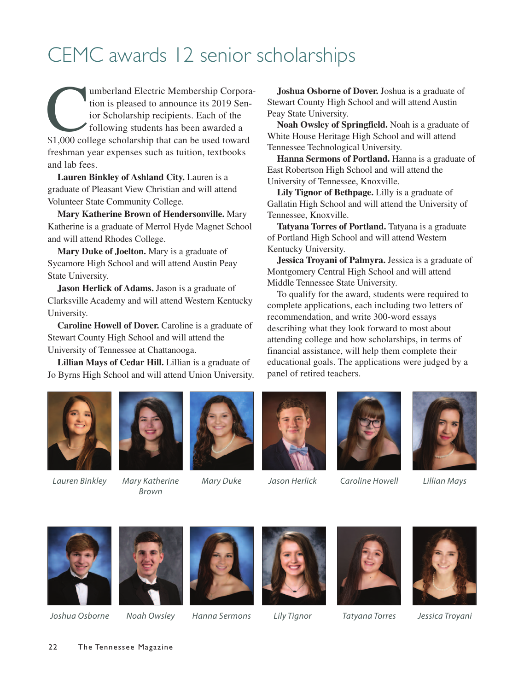## CEMC awards 12 senior scholarships

umberland Electric Membership Corpora-<br>
tion is pleased to announce its 2019 Sen-<br>
ior Scholarship recipients. Each of the<br>
following students has been awarded a<br>
\$1,000 college scholarship that can be used toward tion is pleased to announce its 2019 Senior Scholarship recipients. Each of the following students has been awarded a freshman year expenses such as tuition, textbooks and lab fees.

**Lauren Binkley of Ashland City.** Lauren is a graduate of Pleasant View Christian and will attend Volunteer State Community College.

**Mary Katherine Brown of Hendersonville.** Mary Katherine is a graduate of Merrol Hyde Magnet School and will attend Rhodes College.

**Mary Duke of Joelton.** Mary is a graduate of Sycamore High School and will attend Austin Peay State University.

**Jason Herlick of Adams.** Jason is a graduate of Clarksville Academy and will attend Western Kentucky University.

**Caroline Howell of Dover.** Caroline is a graduate of Stewart County High School and will attend the University of Tennessee at Chattanooga.

**Lillian Mays of Cedar Hill.** Lillian is a graduate of Jo Byrns High School and will attend Union University.

**Joshua Osborne of Dover.** Joshua is a graduate of Stewart County High School and will attend Austin Peay State University.

**Noah Owsley of Springfield.** Noah is a graduate of White House Heritage High School and will attend Tennessee Technological University.

Hanna Sermons of Portland. Hanna is a graduate of East Robertson High School and will attend the University of Tennessee, Knoxville.

**Lily Tignor of Bethpage.** Lilly is a graduate of Gallatin High School and will attend the University of Tennessee, Knoxville.

**Tatyana Torres of Portland.** Tatyana is a graduate of Portland High School and will attend Western Kentucky University.

**Jessica Troyani of Palmyra.** Jessica is a graduate of Montgomery Central High School and will attend Middle Tennessee State University.

To qualify for the award, students were required to complete applications, each including two letters of recommendation, and write 300-word essays describing what they look forward to most about attending college and how scholarships, in terms of financial assistance, will help them complete their educational goals. The applications were judged by a panel of retired teachers.





*Brown* 





*Lauren Binkley Mary Katherine Mary Duke Jason Herlick Caroline Howell Lillian Mays*



## *Joshua Osborne Noah Owsley Hanna Sermons Lily Tignor Tatyana Torres Jessica Troyani*

22 The Tennessee Magazine











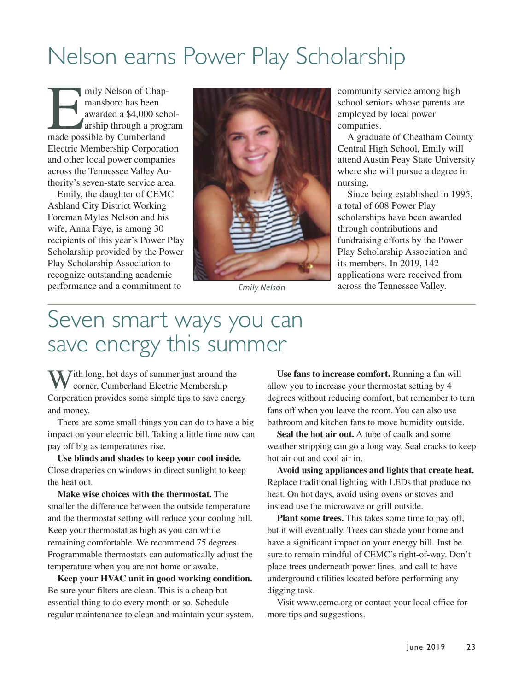## Nelson earns Power Play Scholarship

mily Nelson of Chap-<br>
mansboro has been<br>
awarded a \$4,000 sch<br>
arship through a programade possible by Cumberland mansboro has been awarded a \$4,000 scholarship through a program Electric Membership Corporation and other local power companies across the Tennessee Valley Authority's seven-state service area.

Emily, the daughter of CEMC Ashland City District Working Foreman Myles Nelson and his wife, Anna Faye, is among 30 recipients of this year's Power Play Scholarship provided by the Power Play Scholarship Association to recognize outstanding academic performance and a commitment to



community service among high school seniors whose parents are employed by local power companies.

A graduate of Cheatham County Central High School, Emily will attend Austin Peay State University where she will pursue a degree in nursing.

Since being established in 1995, a total of 608 Power Play scholarships have been awarded through contributions and fundraising efforts by the Power Play Scholarship Association and its members. In 2019, 142 applications were received from *Emily Nelson* across the Tennessee Valley.

## Seven smart ways you can save energy this summer

With long, hot days of summer just around the corner, Cumberland Electric Membership Corporation provides some simple tips to save energy and money.

There are some small things you can do to have a big impact on your electric bill. Taking a little time now can pay off big as temperatures rise.

**Use blinds and shades to keep your cool inside.** Close draperies on windows in direct sunlight to keep the heat out.

**Make wise choices with the thermostat.** The smaller the difference between the outside temperature and the thermostat setting will reduce your cooling bill. Keep your thermostat as high as you can while remaining comfortable. We recommend 75 degrees. Programmable thermostats can automatically adjust the temperature when you are not home or awake.

**Keep your HVAC unit in good working condition.** Be sure your filters are clean. This is a cheap but essential thing to do every month or so. Schedule regular maintenance to clean and maintain your system.

**Use fans to increase comfort.** Running a fan will allow you to increase your thermostat setting by 4 degrees without reducing comfort, but remember to turn fans off when you leave the room. You can also use bathroom and kitchen fans to move humidity outside.

**Seal the hot air out.** A tube of caulk and some weather stripping can go a long way. Seal cracks to keep hot air out and cool air in.

**Avoid using appliances and lights that create heat.** Replace traditional lighting with LEDs that produce no heat. On hot days, avoid using ovens or stoves and instead use the microwave or grill outside.

**Plant some trees.** This takes some time to pay off, but it will eventually. Trees can shade your home and have a significant impact on your energy bill. Just be sure to remain mindful of CEMC's right-of-way. Don't place trees underneath power lines, and call to have underground utilities located before performing any digging task.

Visit www.cemc.org or contact your local office for more tips and suggestions.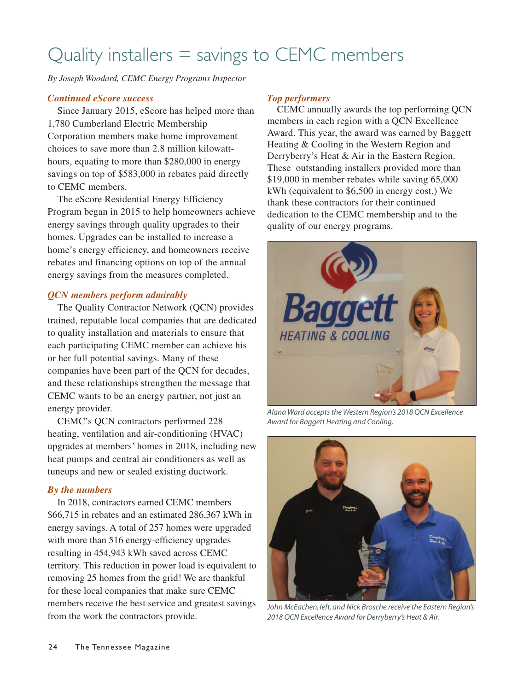## Quality installers = savings to CEMC members

*By Joseph Woodard, CEMC Energy Programs Inspector*

## *Continued eScore success*

Since January 2015, eScore has helped more than 1,780 Cumberland Electric Membership Corporation members make home improvement choices to save more than 2.8 million kilowatthours, equating to more than \$280,000 in energy savings on top of \$583,000 in rebates paid directly to CEMC members.

The eScore Residential Energy Efficiency Program began in 2015 to help homeowners achieve energy savings through quality upgrades to their homes. Upgrades can be installed to increase a home's energy efficiency, and homeowners receive rebates and financing options on top of the annual energy savings from the measures completed.

## *QCN members perform admirably*

The Quality Contractor Network (QCN) provides trained, reputable local companies that are dedicated to quality installation and materials to ensure that each participating CEMC member can achieve his or her full potential savings. Many of these companies have been part of the QCN for decades, and these relationships strengthen the message that CEMC wants to be an energy partner, not just an energy provider.

CEMC's QCN contractors performed 228 heating, ventilation and air-conditioning (HVAC) upgrades at members' homes in 2018, including new heat pumps and central air conditioners as well as tuneups and new or sealed existing ductwork.

### *By the numbers*

In 2018, contractors earned CEMC members \$66,715 in rebates and an estimated 286,367 kWh in energy savings. A total of 257 homes were upgraded with more than 516 energy-efficiency upgrades resulting in 454,943 kWh saved across CEMC territory. This reduction in power load is equivalent to removing 25 homes from the grid! We are thankful for these local companies that make sure CEMC members receive the best service and greatest savings from the work the contractors provide.

## *Top performers*

CEMC annually awards the top performing QCN members in each region with a QCN Excellence Award. This year, the award was earned by Baggett Heating & Cooling in the Western Region and Derryberry's Heat & Air in the Eastern Region. These outstanding installers provided more than \$19,000 in member rebates while saving 65,000 kWh (equivalent to \$6,500 in energy cost.) We thank these contractors for their continued dedication to the CEMC membership and to the quality of our energy programs.



*Alana Ward accepts the Western Region's 2018 QCN Excellence Award for Baggett Heating and Cooling.* 



*John McEachen, left, and Nick Brosche receive the Eastern Region's 2018 QCN Excellence Award for Derryberry's Heat & Air.*